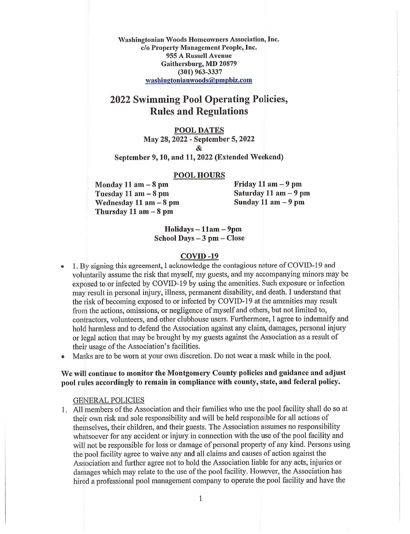Washingtonian Woods Homeowners Association, Inc. c/o Property Management People, Inc. 955 A Russell Avenue Gaithersburg, MD 20879 (301) 963-3337 washingtonianwoods@pmpbiz.com

# 2022 Swimming Pool Operating Policies, Rules and Regulations

### POOL DATES

May 28,2022 - September 5,2022 &

September 9,10, and 11,2022 (Extended Weekend)

POOL HOURS

Tuesday 11 am - 8 pm<br>Wednesday 11 am - 8 pm<br>Sunday 11 am - 9 pm Wednesday  $11$  am  $-8$  pm Thursday  $11$  am  $-8$  pm

Monday 11 am  $-8$  pm Friday 11 am  $-9$  pm

 $Holidays - 11am - 9pm$ School Days - 3 pm - Close

## COVID -19

- • 1. By signing this agreement, I acknowledge the contagious nature of COVID-19 and voluntarily assume the risk that myself, my guests, and my accompanying minors may be exposed to or infected by COVID-19 by using the amenities. Such exposure or infection may result in personal injury, illness, permanent disability, and death. I understand that the risk of becoming exposed to or infected by COVID-19 at the amenities may result from the actions, omissions, or negligence of myself and others, but not limited to, contractors, volunteers, and other clubhouse users. Furthermore, I agree to indemnify and hold harmless and to defend the Association against any claim, damages, personal injury or legal action that may be brought by my guests against the Association as a result of their usage of the Association's facilities.
- Masks are to be worn at your own discretion. Do not wear a mask while in the pool.

## We will continue to monitor the Montgomery County policies and guidance and adjust pool rules accordingly to remain in compliance with county, state, and federal policy.

### GENERAL POLICIES

1. All members of the Association and their families who use the pool facility shall do so at their own risk and sole responsibility and will be held responsible for all actions of themselves, their children, and their guests. The Association assumes no responsibility whatsoever for any accident or injury in connection with the use of the pool facility and will not be responsible for loss or damage of personal property of any kind. Persons using the pool facility agree to waive any and all claims and causes of action against the Association and further agree not to hold the Association liable for any acts, injuries or damages which may relate to the use of the pool facility. However, the Association has hired a professional pool management company to operate the pool facility and have the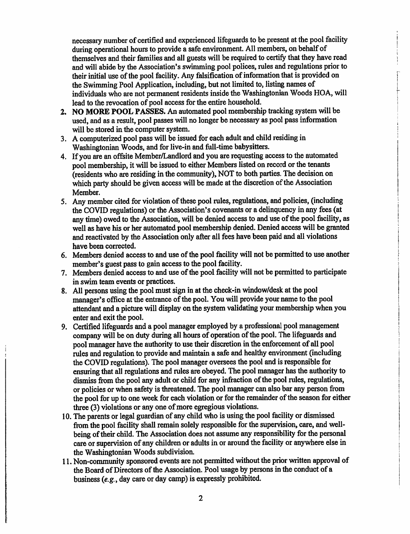necessary number of certified and experienced lifeguards to be present at the pool facility during operational hours to provide a safe environment. All members, on behalf of themselves and their families and all guests will be required to certify that they have read and will abide by the Association's swimming pool polices, rules and regulations prior to their initial use of the pool facility. Any falsification of information that is provided on the Swimming Pool Application, including, but not limited to, listing names of individuals who are not permanent residents inside the Washingtonian Woods HOA, will lead to the revocation of pool access for the entire household.

- 2. NO MORE POOL PASSES. An automated pool membership tracking system will be used, and as a result, pool passes will no longer be necessary as pool pass information will be stored in the computer system.
- 3. A computerized pool pass will be issued for each adult and child residing in Washingtonian Woods, and for live-in and full-time babysitters.
- 4. If you are an offsite Member/Landlord and you are requesting access to the automated pool membership, it will be issued to either Members listed on record or the tenants (residents who are residing in the community), NOT to both parties. The decision on which party should be given access will be made at the discretion of the Association Member.
- 5. Any member cited for violation of these pool rules, regulations, and policies, (including the COVID regulations) or the Association's covenants or a delinquency in any fees (at any time) owed to the Association, will be denied access to and use of the pool facility, as well as have his or her automated pool membership denied. Denied access will be granted and reactivated by the Association only after all fees have been paid and all violations have been corrected.
- 6. Members denied access to and use of the pool facility will not be permitted to use another member's guest pass to gain access to the pool facility.
- 7. Members denied access to and use of the pool facility will not be permitted to participate in swim team events or practices.
- 8. All persons using the pool must sign in at the check-in window/desk at the pool manager's office at the entrance of the pool. You will provide your name to the pool attendant and a picture will display on the system validating your membership when you enter and exit the pool.
- 9. Certified lifeguards and a pool manager employed by a professional pool management company will be on duty during all hours of operation of the pool. The lifeguards and pool manager have the authority to use their discretion in the enforcement of all pool rules and regulation to provide and maintain a safe and healthy environment (including the COVID regulations). The pool manager oversees the pool and is responsible for ensuring that all regulations and rules are obeyed. The pool manager has the authority to dismiss from the pool any adult or child for any infraction of the pool rules, regulations, or policies or when safety is threatened. The pool manager can also bar any person from the pool for up to one week for each violation or for the remainder of the season for either three (3) violations or any one of more egregious violations.
- 10. The parents or legal guardian of any child who is using the pool facility or dismissed from the pool facility shall remain solely responsible for the supervision, care, and wellbeing of their child. The Association does not assume any responsibility for the personal care or supervision of any children or adults in or around the facility or anywhere else in the Washingtonian Woods subdivision.
- 11. Non-community sponsored events are not permitted without the prior written approval of the Board of Directors of the Association. Pool usage by persons in the conduct of a business  $(e, g, \text{day care or day camp})$  is expressly prohibited.